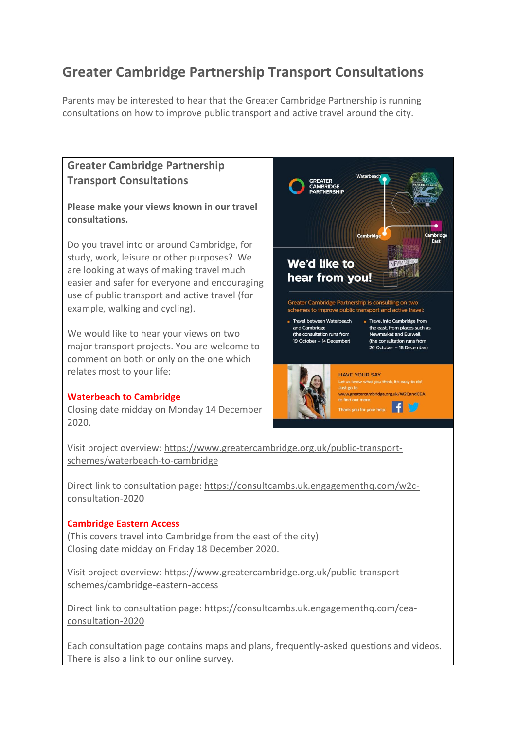## **Greater Cambridge Partnership Transport Consultations**

Parents may be interested to hear that the Greater Cambridge Partnership is running consultations on how to improve public transport and active travel around the city.

## **Greater Cambridge Partnership Transport Consultations**

**Please make your views known in our travel consultations.**

Do you travel into or around Cambridge, for study, work, leisure or other purposes? We are looking at ways of making travel much easier and safer for everyone and encouraging use of public transport and active travel (for example, walking and cycling).

We would like to hear your views on two major transport projects. You are welcome to comment on both or only on the one which relates most to your life:

## **Waterbeach to Cambridge**

Closing date midday on Monday 14 December 2020.



Visit project overview: [https://www.greatercambridge.org.uk/public-transport](https://www.greatercambridge.org.uk/public-transport-schemes/waterbeach-to-cambridge)[schemes/waterbeach-to-cambridge](https://www.greatercambridge.org.uk/public-transport-schemes/waterbeach-to-cambridge)

Direct link to consultation page[: https://consultcambs.uk.engagementhq.com/w2c](https://consultcambs.uk.engagementhq.com/w2c-consultation-2020)[consultation-2020](https://consultcambs.uk.engagementhq.com/w2c-consultation-2020)

## **Cambridge Eastern Access**

(This covers travel into Cambridge from the east of the city) Closing date midday on Friday 18 December 2020.

Visit project overview: [https://www.greatercambridge.org.uk/public-transport](https://www.greatercambridge.org.uk/public-transport-schemes/cambridge-eastern-access)[schemes/cambridge-eastern-access](https://www.greatercambridge.org.uk/public-transport-schemes/cambridge-eastern-access)

Direct link to consultation page[: https://consultcambs.uk.engagementhq.com/cea](https://consultcambs.uk.engagementhq.com/cea-consultation-2020)[consultation-2020](https://consultcambs.uk.engagementhq.com/cea-consultation-2020)

Each consultation page contains maps and plans, frequently-asked questions and videos. There is also a link to our online survey.